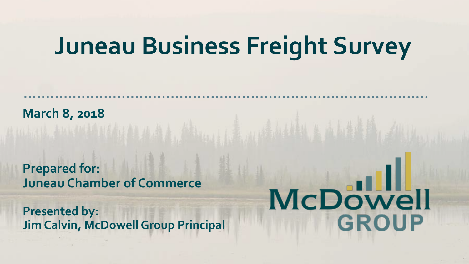# **Juneau Business Freight Survey**

**March 8, 2018**

**Prepared for: Juneau Chamber of Commerce**

**Presented by: Jim Calvin, McDowell Group Principal**

# McDowell **GROUP**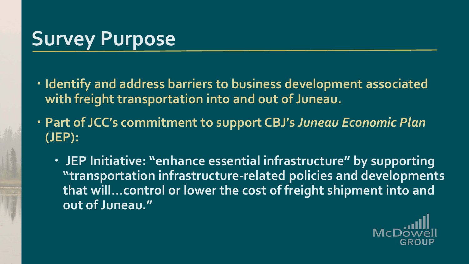# **Survey Purpose**

- **Identify and address barriers to business development associated with freight transportation into and out of Juneau.**
- **Part of JCC's commitment to support CBJ's** *Juneau Economic Plan* **(JEP):**
	- **JEP Initiative: "enhance essential infrastructure" by supporting "transportation infrastructure-related policies and developments that will…control or lower the cost of freight shipment into and out of Juneau."**

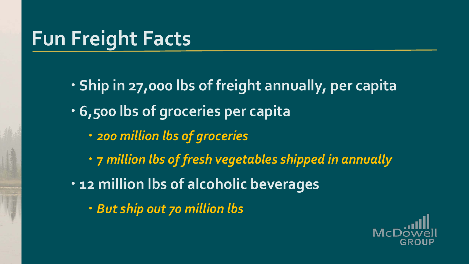# **Fun Freight Facts**

 **Ship in 27,000 lbs of freight annually, per capita 6,500 lbs of groceries per capita** *200 million lbs of groceries* **7** *million lbs of fresh vegetables shipped in annually* **12 million lbs of alcoholic beverages** *But ship out 70 million lbs*

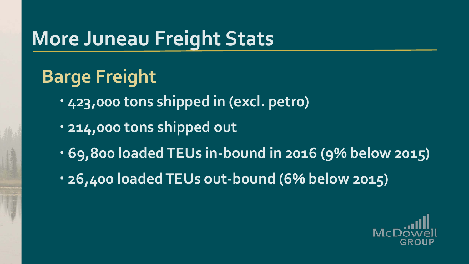# **More Juneau Freight Stats**

## **Barge Freight**

- **423,000 tons shipped in (excl. petro)**
- **214,000 tons shipped out**
- **69,800 loaded TEUs in-bound in 2016 (9% below 2015)**
- **26,400 loaded TEUs out-bound (6% below 2015)**

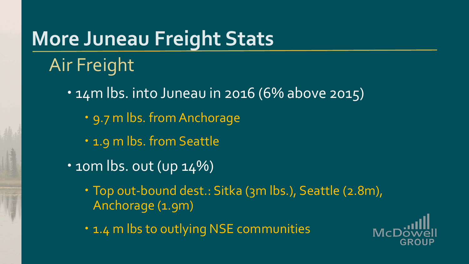# **More Juneau Freight Stats**

## Air Freight

- . 14m lbs. into Juneau in 2016 (6% above 2015)
	- 9.7 m lbs. from Anchorage
	- 1.9 m lbs. from Seattle
- $\cdot$  10m lbs. out (up 14%)
	- Top out-bound dest.: Sitka (3m lbs.), Seattle (2.8m), Anchorage (1.9m)
	- . 1.4 m lbs to outlying NSE communities

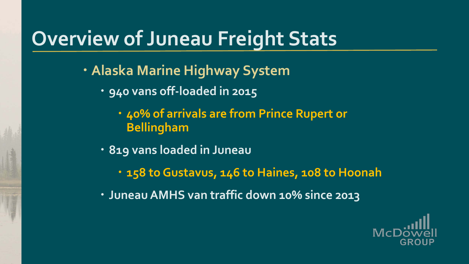# **Overview of Juneau Freight Stats**

- **Alaska Marine Highway System**
	- **940 vans off-loaded in 2015**
		- **40% of arrivals are from Prince Rupert or Bellingham**
	- **819 vans loaded in Juneau**
		- **158 to Gustavus, 146 to Haines, 108 to Hoonah**
	- **Juneau AMHS van traffic down 10% since 2013**

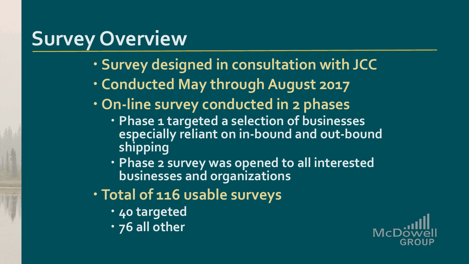# **Survey Overview**

- **Survey designed in consultation with JCC**
- **Conducted May through August 2017**
- **On-line survey conducted in 2 phases**
	- **Phase 1 targeted a selection of businesses especially reliant on in-bound and out-bound shipping**
	- **Phase 2 survey was opened to all interested businesses and organizations**
- **Total of 116 usable surveys**
	- **40 targeted**
	- **76 all other**

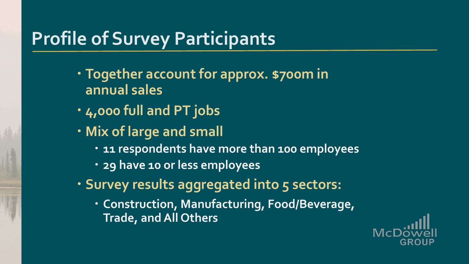### **Profile of Survey Participants**

- **Together account for approx. \$700m in annual sales**
- **4,000 full and PT jobs**
- **Mix of large and small**
	- **11 respondents have more than 100 employees**
	- **29 have 10 or less employees**
- **Survey results aggregated into 5 sectors:**
	- **Construction, Manufacturing, Food/Beverage, Trade, and All Others**

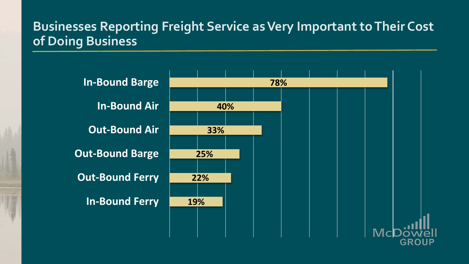#### **Businesses Reporting Freight Service as Very Important to Their Cost of Doing Business**

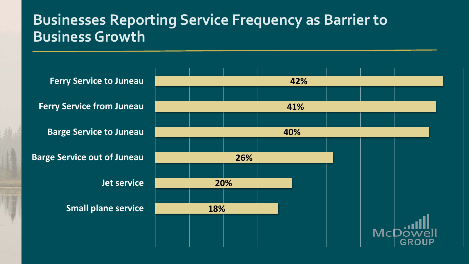#### **Businesses Reporting Service Frequency as Barrier to Business Growth**

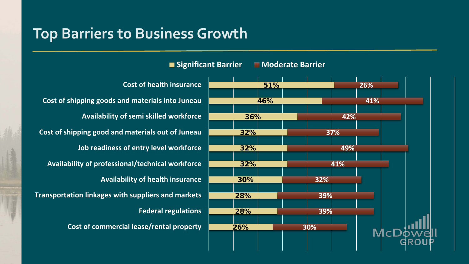#### **Top Barriers to Business Growth**

**Cost of health insurance** 51% **26% Cost of shipping goods and materials into Juneau 41%** 46% **Availability of semi skilled workforce** 36% **42% Cost of shipping good and materials out of Juneau** 32% **37% Job readiness of entry level workforce** 32% **49% Availability of professional/technical workforce** 32% **41% Availability of health insurance** 30% **32% Transportation linkages with suppliers and markets 39%** 28% **Federal regulations 39%** 28% **Cost of commercial lease/rental property** 26% **30%** McL

**Significant Barrier Moderate Barrier**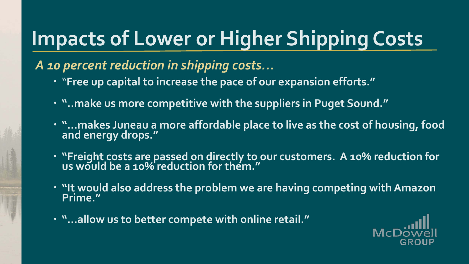# **Impacts of Lower or Higher Shipping Costs**

#### *A 10 percent reduction in shipping costs…*

- "**Free up capital to increase the pace of our expansion efforts."**
- **"..make us more competitive with the suppliers in Puget Sound."**
- **. "...makes Juneau a more affordable place to live as the cost of housing, food and energy drops."**
- **"Freight costs are passed on directly to our customers. A 10% reduction for us would be a 10% reduction for them."**
- **.** "It would also address the problem we are having competing with Amazon **Prime."**
- **"…allow us to better compete with online retail."**

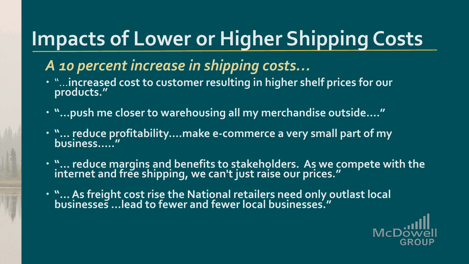# **Impacts of Lower or Higher Shipping Costs**

#### *A 10 percent increase in shipping costs…*

- "…**increased cost to customer resulting in higher shelf prices for our products."**
- **"…push me closer to warehousing all my merchandise outside…."**
- **"… reduce profitability….make e-commerce a very small part of my business….."**
- **"… reduce margins and benefits to stakeholders. As we compete with the internet and free shipping, we can't just raise our prices."**
- **"… As freight cost rise the National retailers need only outlast local businesses …lead to fewer and fewer local businesses."**

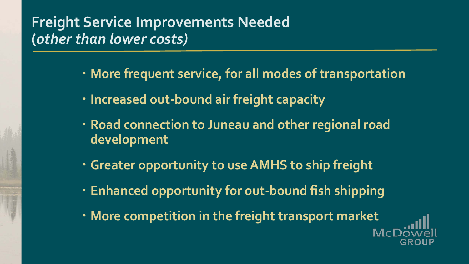#### **Freight Service Improvements Needed (***other than lower costs)*

- **More frequent service, for all modes of transportation**
- **Increased out-bound air freight capacity**
- **Road connection to Juneau and other regional road development**
- **Greater opportunity to use AMHS to ship freight**
- **Enhanced opportunity for out-bound fish shipping**
- **More competition in the freight transport market**

 $\mathbf{M}$ cl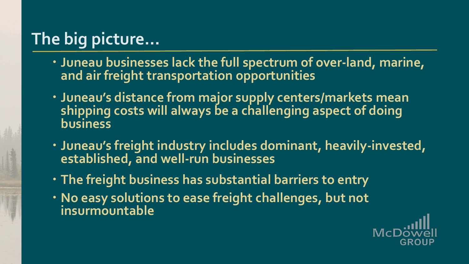## **The big picture…**

- **Juneau businesses lack the full spectrum of over-land, marine, and air freight transportation opportunities**
- **Juneau's distance from major supply centers/markets mean shipping costs will always be a challenging aspect of doing business**
- **Juneau's freight industry includes dominant, heavily-invested, established, and well-run businesses**
- **The freight business has substantial barriers to entry**
- **No easy solutions to ease freight challenges, but not insurmountable**

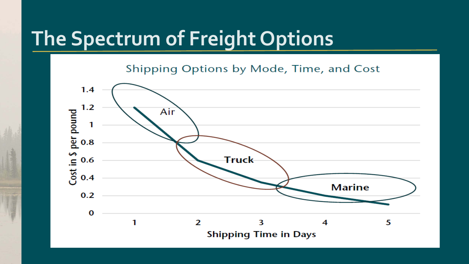## **The Spectrum of Freight Options**

Shipping Options by Mode, Time, and Cost

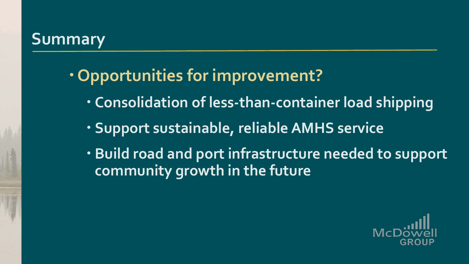#### **Summary**

- **Opportunities for improvement?**
	- **Consolidation of less-than-container load shipping**
	- **Support sustainable, reliable AMHS service**
	- **Build road and port infrastructure needed to support community growth in the future**

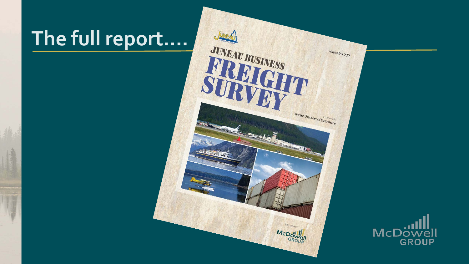# **The full report….**



VAI